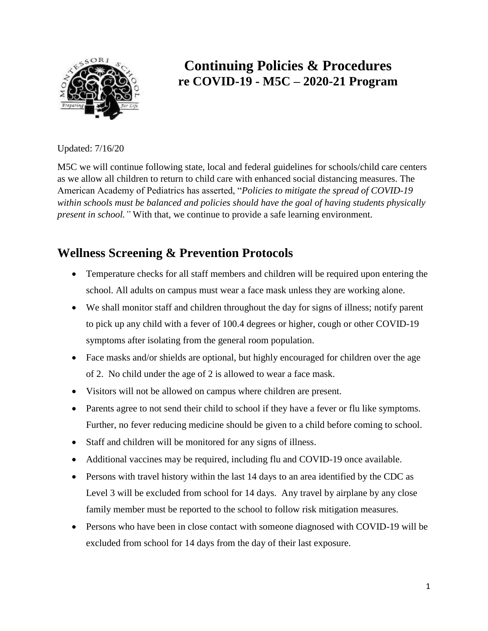

# **Continuing Policies & Procedures re COVID-19 - M5C – 2020-21 Program**

Updated: 7/16/20

M5C we will continue following state, local and federal guidelines for schools/child care centers as we allow all children to return to child care with enhanced social distancing measures. The American Academy of Pediatrics has asserted, "*Policies to mitigate the spread of COVID-19 within schools must be balanced and policies should have the goal of having students physically present in school."* With that, we continue to provide a safe learning environment.

# **Wellness Screening & Prevention Protocols**

- Temperature checks for all staff members and children will be required upon entering the school. All adults on campus must wear a face mask unless they are working alone.
- We shall monitor staff and children throughout the day for signs of illness; notify parent to pick up any child with a fever of 100.4 degrees or higher, cough or other COVID-19 symptoms after isolating from the general room population.
- Face masks and/or shields are optional, but highly encouraged for children over the age of 2. No child under the age of 2 is allowed to wear a face mask.
- Visitors will not be allowed on campus where children are present.
- Parents agree to not send their child to school if they have a fever or flu like symptoms. Further, no fever reducing medicine should be given to a child before coming to school.
- Staff and children will be monitored for any signs of illness.
- Additional vaccines may be required, including flu and COVID-19 once available.
- Persons with travel history within the last 14 days to an area identified by the CDC as Level 3 will be excluded from school for 14 days. Any travel by airplane by any close family member must be reported to the school to follow risk mitigation measures.
- Persons who have been in close contact with someone diagnosed with COVID-19 will be excluded from school for 14 days from the day of their last exposure.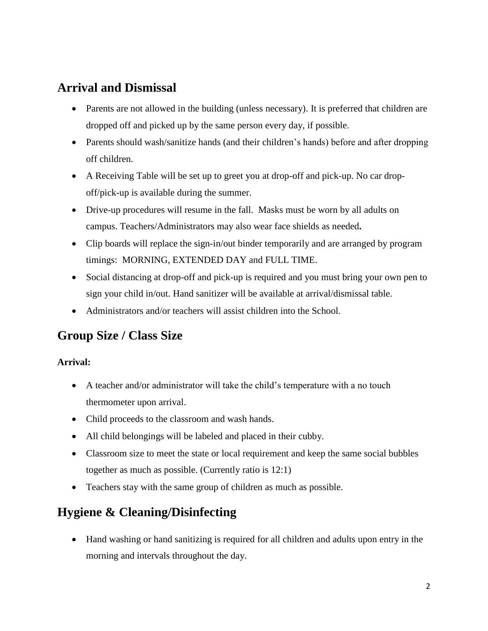## **Arrival and Dismissal**

- Parents are not allowed in the building (unless necessary). It is preferred that children are dropped off and picked up by the same person every day, if possible.
- Parents should wash/sanitize hands (and their children's hands) before and after dropping off children.
- A Receiving Table will be set up to greet you at drop-off and pick-up. No car dropoff/pick-up is available during the summer.
- Drive-up procedures will resume in the fall. Masks must be worn by all adults on campus. Teachers/Administrators may also wear face shields as needed**.**
- Clip boards will replace the sign-in/out binder temporarily and are arranged by program timings: MORNING, EXTENDED DAY and FULL TIME.
- Social distancing at drop-off and pick-up is required and you must bring your own pen to sign your child in/out. Hand sanitizer will be available at arrival/dismissal table.
- Administrators and/or teachers will assist children into the School.

## **Group Size / Class Size**

#### **Arrival:**

- A teacher and/or administrator will take the child's temperature with a no touch thermometer upon arrival.
- Child proceeds to the classroom and wash hands.
- All child belongings will be labeled and placed in their cubby.
- Classroom size to meet the state or local requirement and keep the same social bubbles together as much as possible. (Currently ratio is 12:1)
- Teachers stay with the same group of children as much as possible.

# **Hygiene & Cleaning/Disinfecting**

 Hand washing or hand sanitizing is required for all children and adults upon entry in the morning and intervals throughout the day.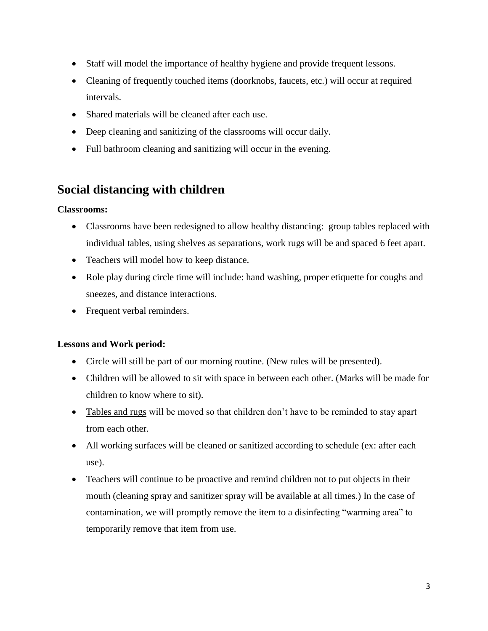- Staff will model the importance of healthy hygiene and provide frequent lessons.
- Cleaning of frequently touched items (doorknobs, faucets, etc.) will occur at required intervals.
- Shared materials will be cleaned after each use.
- Deep cleaning and sanitizing of the classrooms will occur daily.
- Full bathroom cleaning and sanitizing will occur in the evening.

## **Social distancing with children**

#### **Classrooms:**

- Classrooms have been redesigned to allow healthy distancing: group tables replaced with individual tables, using shelves as separations, work rugs will be and spaced 6 feet apart.
- Teachers will model how to keep distance.
- Role play during circle time will include: hand washing, proper etiquette for coughs and sneezes, and distance interactions.
- Frequent verbal reminders.

#### **Lessons and Work period:**

- Circle will still be part of our morning routine. (New rules will be presented).
- Children will be allowed to sit with space in between each other. (Marks will be made for children to know where to sit).
- Tables and rugs will be moved so that children don't have to be reminded to stay apart from each other.
- All working surfaces will be cleaned or sanitized according to schedule (ex: after each use).
- Teachers will continue to be proactive and remind children not to put objects in their mouth (cleaning spray and sanitizer spray will be available at all times.) In the case of contamination, we will promptly remove the item to a disinfecting "warming area" to temporarily remove that item from use.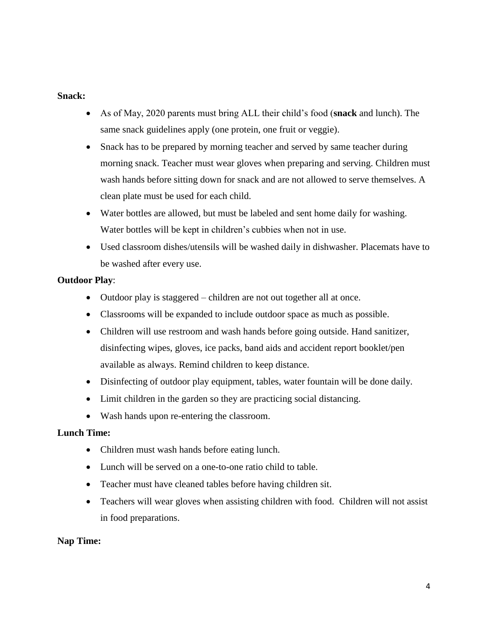#### **Snack:**

- As of May, 2020 parents must bring ALL their child's food (**snack** and lunch). The same snack guidelines apply (one protein, one fruit or veggie).
- Snack has to be prepared by morning teacher and served by same teacher during morning snack. Teacher must wear gloves when preparing and serving. Children must wash hands before sitting down for snack and are not allowed to serve themselves. A clean plate must be used for each child.
- Water bottles are allowed, but must be labeled and sent home daily for washing. Water bottles will be kept in children's cubbies when not in use.
- Used classroom dishes/utensils will be washed daily in dishwasher. Placemats have to be washed after every use.

#### **Outdoor Play**:

- Outdoor play is staggered children are not out together all at once.
- Classrooms will be expanded to include outdoor space as much as possible.
- Children will use restroom and wash hands before going outside. Hand sanitizer, disinfecting wipes, gloves, ice packs, band aids and accident report booklet/pen available as always. Remind children to keep distance.
- Disinfecting of outdoor play equipment, tables, water fountain will be done daily.
- Limit children in the garden so they are practicing social distancing.
- Wash hands upon re-entering the classroom.

#### **Lunch Time:**

- Children must wash hands before eating lunch.
- Lunch will be served on a one-to-one ratio child to table.
- Teacher must have cleaned tables before having children sit.
- Teachers will wear gloves when assisting children with food. Children will not assist in food preparations.

#### **Nap Time:**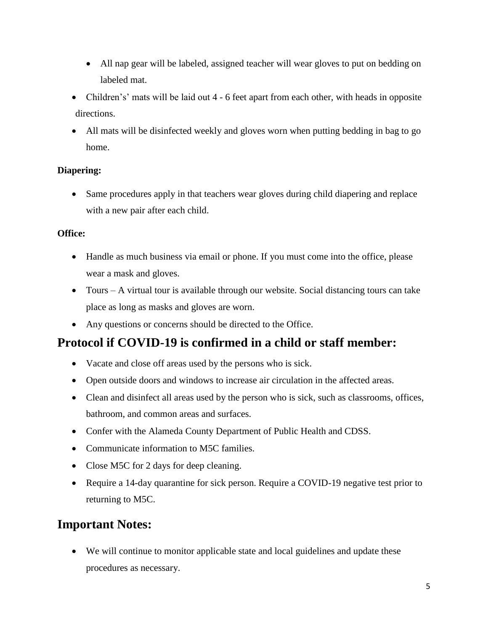- All nap gear will be labeled, assigned teacher will wear gloves to put on bedding on labeled mat.
- Children's' mats will be laid out 4 6 feet apart from each other, with heads in opposite directions.
- All mats will be disinfected weekly and gloves worn when putting bedding in bag to go home.

#### **Diapering:**

 Same procedures apply in that teachers wear gloves during child diapering and replace with a new pair after each child.

#### **Office:**

- Handle as much business via email or phone. If you must come into the office, please wear a mask and gloves.
- Tours A virtual tour is available through our website. Social distancing tours can take place as long as masks and gloves are worn.
- Any questions or concerns should be directed to the Office.

## **Protocol if COVID-19 is confirmed in a child or staff member:**

- Vacate and close off areas used by the persons who is sick.
- Open outside doors and windows to increase air circulation in the affected areas.
- Clean and disinfect all areas used by the person who is sick, such as classrooms, offices, bathroom, and common areas and surfaces.
- Confer with the Alameda County Department of Public Health and CDSS.
- Communicate information to M5C families.
- Close M5C for 2 days for deep cleaning.
- Require a 14-day quarantine for sick person. Require a COVID-19 negative test prior to returning to M5C.

### **Important Notes:**

 We will continue to monitor applicable state and local guidelines and update these procedures as necessary.